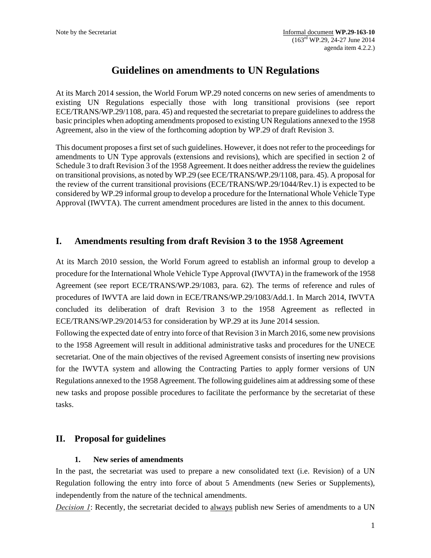# **Guidelines on amendments to UN Regulations**

At its March 2014 session, the World Forum WP.29 noted concerns on new series of amendments to existing UN Regulations especially those with long transitional provisions (see report ECE/TRANS/WP.29/1108, para. 45) and requested the secretariat to prepare guidelines to address the basic principles when adopting amendments proposed to existing UN Regulations annexed to the 1958 Agreement, also in the view of the forthcoming adoption by WP.29 of draft Revision 3.

This document proposes a first set of such guidelines. However, it does not refer to the proceedings for amendments to UN Type approvals (extensions and revisions), which are specified in section 2 of Schedule 3 to draft Revision 3 of the 1958 Agreement. It does neither address the review the guidelines on transitional provisions, as noted by WP.29 (see ECE/TRANS/WP.29/1108, para. 45). A proposal for the review of the current transitional provisions (ECE/TRANS/WP.29/1044/Rev.1) is expected to be considered by WP.29 informal group to develop a procedure for the International Whole Vehicle Type Approval (IWVTA). The current amendment procedures are listed in the annex to this document.

# **I. Amendments resulting from draft Revision 3 to the 1958 Agreement**

At its March 2010 session, the World Forum agreed to establish an informal group to develop a procedure for the International Whole Vehicle Type Approval (IWVTA) in the framework of the 1958 Agreement (see report ECE/TRANS/WP.29/1083, para. 62). The terms of reference and rules of procedures of IWVTA are laid down in ECE/TRANS/WP.29/1083/Add.1. In March 2014, IWVTA concluded its deliberation of draft Revision 3 to the 1958 Agreement as reflected in ECE/TRANS/WP.29/2014/53 for consideration by WP.29 at its June 2014 session.

Following the expected date of entry into force of that Revision 3 in March 2016, some new provisions to the 1958 Agreement will result in additional administrative tasks and procedures for the UNECE secretariat. One of the main objectives of the revised Agreement consists of inserting new provisions for the IWVTA system and allowing the Contracting Parties to apply former versions of UN Regulations annexed to the 1958 Agreement. The following guidelines aim at addressing some of these new tasks and propose possible procedures to facilitate the performance by the secretariat of these tasks.

# **II. Proposal for guidelines**

### **1. New series of amendments**

In the past, the secretariat was used to prepare a new consolidated text (i.e. Revision) of a UN Regulation following the entry into force of about 5 Amendments (new Series or Supplements), independently from the nature of the technical amendments.

*Decision 1*: Recently, the secretariat decided to always publish new Series of amendments to a UN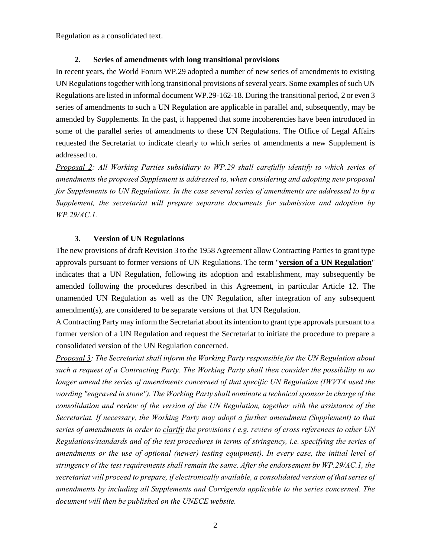Regulation as a consolidated text.

#### **2. Series of amendments with long transitional provisions**

In recent years, the World Forum WP.29 adopted a number of new series of amendments to existing UN Regulations together with long transitional provisions of several years. Some examples of such UN Regulations are listed in informal document WP.29-162-18. During the transitional period, 2 or even 3 series of amendments to such a UN Regulation are applicable in parallel and, subsequently, may be amended by Supplements. In the past, it happened that some incoherencies have been introduced in some of the parallel series of amendments to these UN Regulations. The Office of Legal Affairs requested the Secretariat to indicate clearly to which series of amendments a new Supplement is addressed to.

*Proposal 2: All Working Parties subsidiary to WP.29 shall carefully identify to which series of amendments the proposed Supplement is addressed to, when considering and adopting new proposal for Supplements to UN Regulations. In the case several series of amendments are addressed to by a Supplement, the secretariat will prepare separate documents for submission and adoption by WP.29/AC.1.* 

#### **3. Version of UN Regulations**

The new provisions of draft Revision 3 to the 1958 Agreement allow Contracting Parties to grant type approvals pursuant to former versions of UN Regulations. The term "**version of a UN Regulation**" indicates that a UN Regulation, following its adoption and establishment, may subsequently be amended following the procedures described in this Agreement, in particular Article 12. The unamended UN Regulation as well as the UN Regulation, after integration of any subsequent amendment(s), are considered to be separate versions of that UN Regulation.

A Contracting Party may inform the Secretariat about its intention to grant type approvals pursuant to a former version of a UN Regulation and request the Secretariat to initiate the procedure to prepare a consolidated version of the UN Regulation concerned.

*Proposal 3: The Secretariat shall inform the Working Party responsible for the UN Regulation about such a request of a Contracting Party. The Working Party shall then consider the possibility to no longer amend the series of amendments concerned of that specific UN Regulation (IWVTA used the wording "engraved in stone"). The Working Party shall nominate a technical sponsor in charge of the consolidation and review of the version of the UN Regulation, together with the assistance of the Secretariat. If necessary, the Working Party may adopt a further amendment (Supplement) to that series of amendments in order to clarify the provisions ( e.g. review of cross references to other UN Regulations/standards and of the test procedures in terms of stringency, i.e. specifying the series of amendments or the use of optional (newer) testing equipment). In every case, the initial level of stringency of the test requirements shall remain the same. After the endorsement by WP.29/AC.1, the secretariat will proceed to prepare, if electronically available, a consolidated version of that series of amendments by including all Supplements and Corrigenda applicable to the series concerned. The document will then be published on the UNECE website.*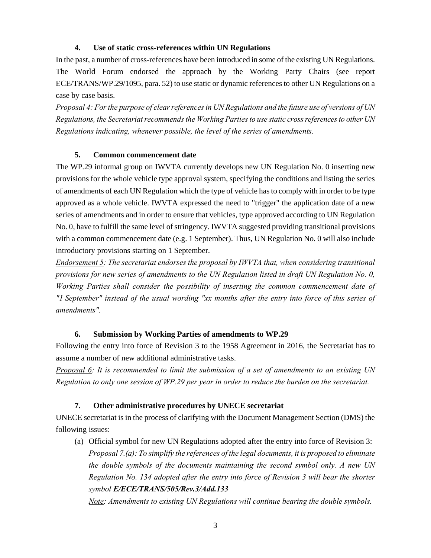## **4. Use of static cross-references within UN Regulations**

In the past, a number of cross-references have been introduced in some of the existing UN Regulations. The World Forum endorsed the approach by the Working Party Chairs (see report ECE/TRANS/WP.29/1095, para. 52) to use static or dynamic references to other UN Regulations on a case by case basis.

*Proposal 4: For the purpose of clear references in UN Regulations and the future use of versions of UN Regulations, the Secretariat recommends the Working Parties to use static cross references to other UN Regulations indicating, whenever possible, the level of the series of amendments.* 

## **5. Common commencement date**

The WP.29 informal group on IWVTA currently develops new UN Regulation No. 0 inserting new provisions for the whole vehicle type approval system, specifying the conditions and listing the series of amendments of each UN Regulation which the type of vehicle has to comply with in order to be type approved as a whole vehicle. IWVTA expressed the need to "trigger" the application date of a new series of amendments and in order to ensure that vehicles, type approved according to UN Regulation No. 0, have to fulfill the same level of stringency. IWVTA suggested providing transitional provisions with a common commencement date (e.g. 1 September). Thus, UN Regulation No. 0 will also include introductory provisions starting on 1 September.

*Endorsement 5: The secretariat endorses the proposal by IWVTA that, when considering transitional provisions for new series of amendments to the UN Regulation listed in draft UN Regulation No. 0, Working Parties shall consider the possibility of inserting the common commencement date of "1 September" instead of the usual wording "xx months after the entry into force of this series of amendments".*

### **6. Submission by Working Parties of amendments to WP.29**

Following the entry into force of Revision 3 to the 1958 Agreement in 2016, the Secretariat has to assume a number of new additional administrative tasks.

*Proposal 6: It is recommended to limit the submission of a set of amendments to an existing UN Regulation to only one session of WP.29 per year in order to reduce the burden on the secretariat.* 

### **7. Other administrative procedures by UNECE secretariat**

UNECE secretariat is in the process of clarifying with the Document Management Section (DMS) the following issues:

(a) Official symbol for new UN Regulations adopted after the entry into force of Revision 3: *Proposal 7.(a): To simplify the references of the legal documents, it is proposed to eliminate the double symbols of the documents maintaining the second symbol only. A new UN Regulation No. 134 adopted after the entry into force of Revision 3 will bear the shorter symbol E/ECE/TRANS/505/Rev.3/Add.133* 

*Note: Amendments to existing UN Regulations will continue bearing the double symbols.*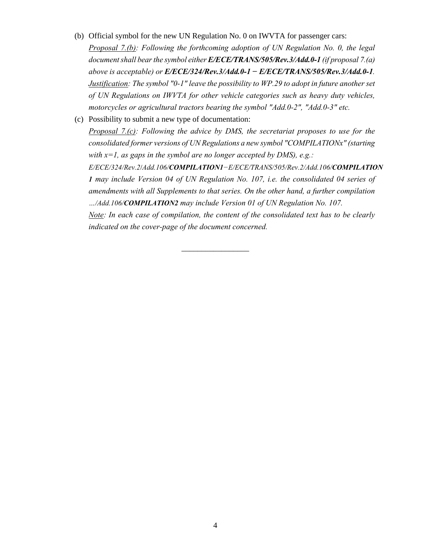- (b) Official symbol for the new UN Regulation No. 0 on IWVTA for passenger cars: *Proposal 7.(b): Following the forthcoming adoption of UN Regulation No. 0, the legal document shall bear the symbol either E/ECE/TRANS/505/Rev.3/Add.0-1 (if proposal 7.(a) above is acceptable) or E/ECE/324/Rev.3/Add.0-1 − E/ECE/TRANS/505/Rev.3/Add.0-1. Justification: The symbol "0-1" leave the possibility to WP.29 to adopt in future another set of UN Regulations on IWVTA for other vehicle categories such as heavy duty vehicles, motorcycles or agricultural tractors bearing the symbol "Add.0-2", "Add.0-3" etc.*
- (c) Possibility to submit a new type of documentation: *Proposal 7.(c): Following the advice by DMS, the secretariat proposes to use for the consolidated former versions of UN Regulations a new symbol "COMPILATIONx" (starting with x=1, as gaps in the symbol are no longer accepted by DMS), e.g.: E/ECE/324/Rev.2*/*Add.106/COMPILATION1−E/ECE/TRANS/505/Rev.2/Add.106/COMPILATION 1 may include Version 04 of UN Regulation No. 107, i.e. the consolidated 04 series of amendments with all Supplements to that series. On the other hand, a further compilation …/Add.106/COMPILATION2 may include Version 01 of UN Regulation No. 107. Note: In each case of compilation, the content of the consolidated text has to be clearly indicated on the cover-page of the document concerned.*

\_\_\_\_\_\_\_\_\_\_\_\_\_\_\_\_\_

4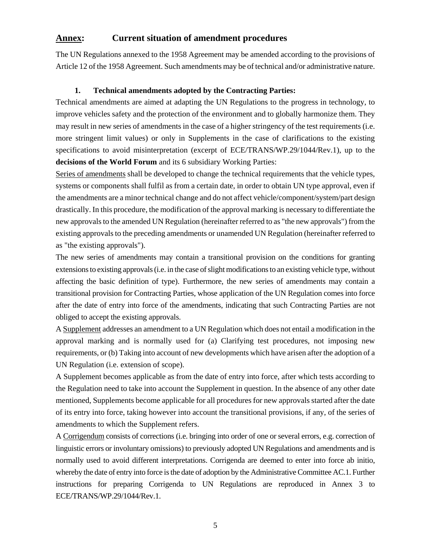## **Annex: Current situation of amendment procedures**

The UN Regulations annexed to the 1958 Agreement may be amended according to the provisions of Article 12 of the 1958 Agreement. Such amendments may be of technical and/or administrative nature.

#### **1. Technical amendments adopted by the Contracting Parties:**

Technical amendments are aimed at adapting the UN Regulations to the progress in technology, to improve vehicles safety and the protection of the environment and to globally harmonize them. They may result in new series of amendments in the case of a higher stringency of the test requirements (i.e. more stringent limit values) or only in Supplements in the case of clarifications to the existing specifications to avoid misinterpretation (excerpt of ECE/TRANS/WP.29/1044/Rev.1), up to the **decisions of the World Forum** and its 6 subsidiary Working Parties:

Series of amendments shall be developed to change the technical requirements that the vehicle types, systems or components shall fulfil as from a certain date, in order to obtain UN type approval, even if the amendments are a minor technical change and do not affect vehicle/component/system/part design drastically. In this procedure, the modification of the approval marking is necessary to differentiate the new approvals to the amended UN Regulation (hereinafter referred to as "the new approvals") from the existing approvals to the preceding amendments or unamended UN Regulation (hereinafter referred to as "the existing approvals").

The new series of amendments may contain a transitional provision on the conditions for granting extensions to existing approvals (i.e. in the case of slight modifications to an existing vehicle type, without affecting the basic definition of type). Furthermore, the new series of amendments may contain a transitional provision for Contracting Parties, whose application of the UN Regulation comes into force after the date of entry into force of the amendments, indicating that such Contracting Parties are not obliged to accept the existing approvals.

A Supplement addresses an amendment to a UN Regulation which does not entail a modification in the approval marking and is normally used for (a) Clarifying test procedures, not imposing new requirements, or (b) Taking into account of new developments which have arisen after the adoption of a UN Regulation (i.e. extension of scope).

A Supplement becomes applicable as from the date of entry into force, after which tests according to the Regulation need to take into account the Supplement in question. In the absence of any other date mentioned, Supplements become applicable for all procedures for new approvals started after the date of its entry into force, taking however into account the transitional provisions, if any, of the series of amendments to which the Supplement refers.

A Corrigendum consists of corrections (i.e. bringing into order of one or several errors, e.g. correction of linguistic errors or involuntary omissions) to previously adopted UN Regulations and amendments and is normally used to avoid different interpretations. Corrigenda are deemed to enter into force ab initio, whereby the date of entry into force is the date of adoption by the Administrative Committee AC.1. Further instructions for preparing Corrigenda to UN Regulations are reproduced in Annex 3 to ECE/TRANS/WP.29/1044/Rev.1.